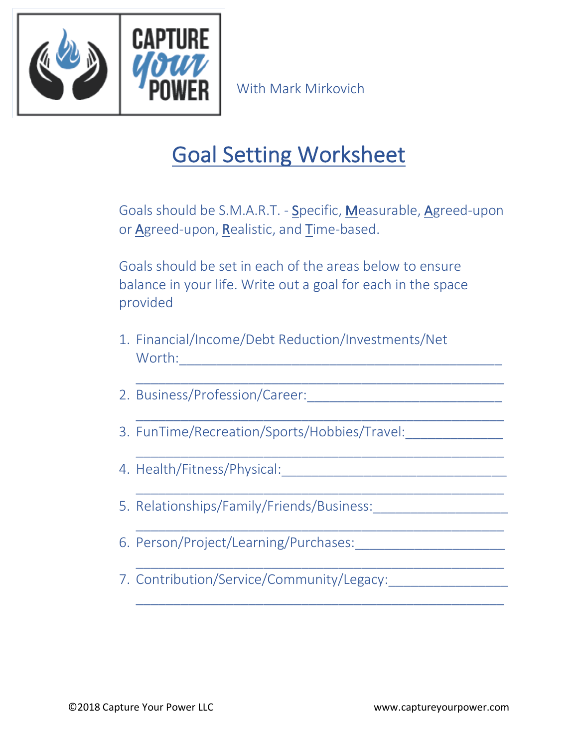

With Mark Mirkovich

## Goal Setting Worksheet

Goals should be S.M.A.R.T. - Specific, Measurable, Agreed-upon or Agreed-upon, Realistic, and Time-based.

\_\_\_\_\_\_\_\_\_\_\_\_\_\_\_\_\_\_\_\_\_\_\_\_\_\_\_\_\_\_\_\_\_\_\_\_\_\_\_\_\_\_\_\_\_\_\_\_\_

\_\_\_\_\_\_\_\_\_\_\_\_\_\_\_\_\_\_\_\_\_\_\_\_\_\_\_\_\_\_\_\_\_\_\_\_\_\_\_\_\_\_\_\_\_\_\_\_\_

\_\_\_\_\_\_\_\_\_\_\_\_\_\_\_\_\_\_\_\_\_\_\_\_\_\_\_\_\_\_\_\_\_\_\_\_\_\_\_\_\_\_\_\_\_\_\_\_\_

\_\_\_\_\_\_\_\_\_\_\_\_\_\_\_\_\_\_\_\_\_\_\_\_\_\_\_\_\_\_\_\_\_\_\_\_\_\_\_\_\_\_\_\_\_\_\_\_\_

\_\_\_\_\_\_\_\_\_\_\_\_\_\_\_\_\_\_\_\_\_\_\_\_\_\_\_\_\_\_\_\_\_\_\_\_\_\_\_\_\_\_\_\_\_\_\_\_\_

Goals should be set in each of the areas below to ensure balance in your life. Write out a goal for each in the space provided

- 1. Financial/Income/Debt Reduction/Investments/Net Worth:\_\_\_\_\_\_\_\_\_\_\_\_\_\_\_\_\_\_\_\_\_\_\_\_\_\_\_\_\_\_\_\_\_\_\_\_\_\_\_\_\_\_\_
- 2. Business/Profession/Career:
- 3. FunTime/Recreation/Sports/Hobbies/Travel:
- 4. Health/Fitness/Physical:\_\_\_\_\_\_\_\_\_\_\_\_\_\_\_\_\_\_\_\_\_\_\_\_\_\_\_\_\_\_
- 5. Relationships/Family/Friends/Business:\_\_\_\_\_\_\_\_\_\_\_\_\_\_\_\_\_\_
- 6. Person/Project/Learning/Purchases:\_\_\_\_\_\_\_\_\_\_\_\_\_\_\_\_\_\_\_\_
- 7. Contribution/Service/Community/Legacy:\_\_\_\_\_\_\_\_\_\_\_\_\_\_\_\_

\_\_\_\_\_\_\_\_\_\_\_\_\_\_\_\_\_\_\_\_\_\_\_\_\_\_\_\_\_\_\_\_\_\_\_\_\_\_\_\_\_\_\_\_\_\_\_\_\_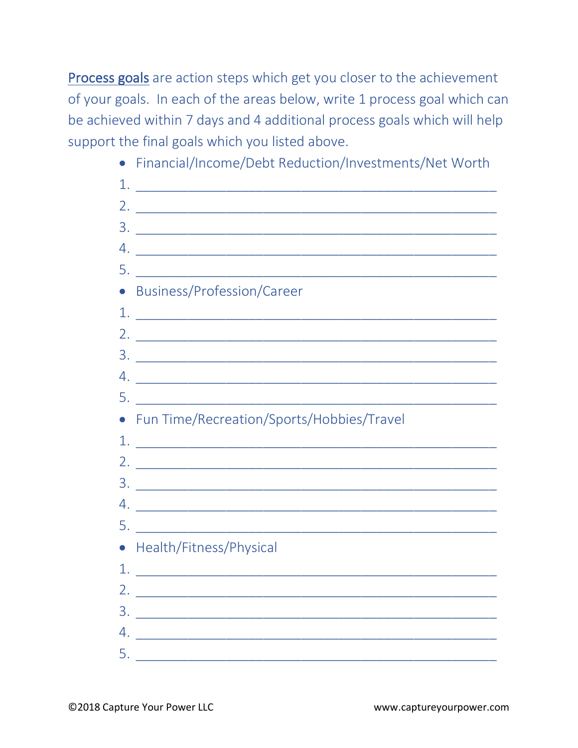Process goals are action steps which get you closer to the achievement of your goals. In each of the areas below, write 1 process goal which can be achieved within 7 days and 4 additional process goals which will help support the final goals which you listed above.

• Financial/Income/Debt Reduction/Investments/Net Worth

| 1. |                                                                                                                        |
|----|------------------------------------------------------------------------------------------------------------------------|
| 2. | <u> 2000 - Jan James James, martin de la provincia de la provincia de la provincia de la provincia de la provincia</u> |
|    |                                                                                                                        |
|    |                                                                                                                        |
|    |                                                                                                                        |
|    | • Business/Profession/Career                                                                                           |
|    |                                                                                                                        |
|    |                                                                                                                        |
|    |                                                                                                                        |
|    |                                                                                                                        |
|    |                                                                                                                        |
|    | • Fun Time/Recreation/Sports/Hobbies/Travel                                                                            |
|    |                                                                                                                        |
|    |                                                                                                                        |
|    |                                                                                                                        |
|    |                                                                                                                        |
|    |                                                                                                                        |
|    |                                                                                                                        |
|    | • Health/Fitness/Physical                                                                                              |
| 1. |                                                                                                                        |
|    | <u> Alexandria de la contenta de la contenta de la con</u>                                                             |
|    |                                                                                                                        |
|    |                                                                                                                        |
|    | 4.                                                                                                                     |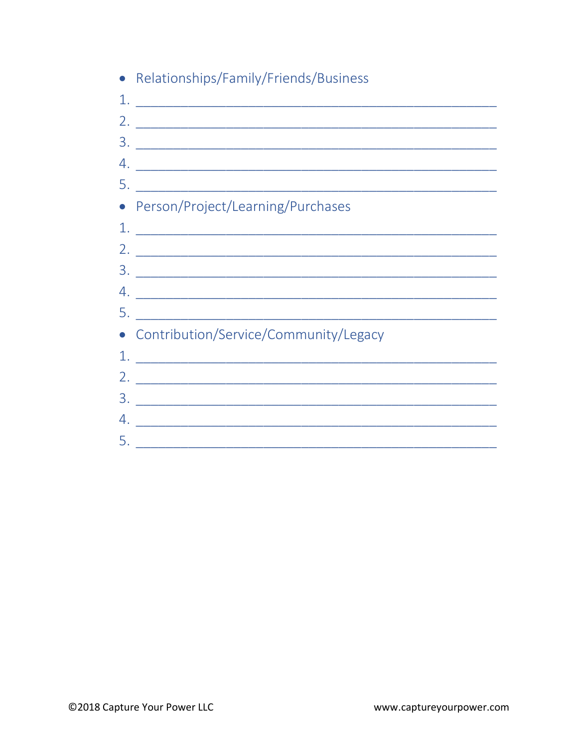| • Relationships/Family/Friends/Business                                                                                                                                                                                                                                                                                                                                                                              |
|----------------------------------------------------------------------------------------------------------------------------------------------------------------------------------------------------------------------------------------------------------------------------------------------------------------------------------------------------------------------------------------------------------------------|
|                                                                                                                                                                                                                                                                                                                                                                                                                      |
|                                                                                                                                                                                                                                                                                                                                                                                                                      |
|                                                                                                                                                                                                                                                                                                                                                                                                                      |
|                                                                                                                                                                                                                                                                                                                                                                                                                      |
|                                                                                                                                                                                                                                                                                                                                                                                                                      |
| • Person/Project/Learning/Purchases                                                                                                                                                                                                                                                                                                                                                                                  |
|                                                                                                                                                                                                                                                                                                                                                                                                                      |
|                                                                                                                                                                                                                                                                                                                                                                                                                      |
|                                                                                                                                                                                                                                                                                                                                                                                                                      |
|                                                                                                                                                                                                                                                                                                                                                                                                                      |
|                                                                                                                                                                                                                                                                                                                                                                                                                      |
| • Contribution/Service/Community/Legacy                                                                                                                                                                                                                                                                                                                                                                              |
| $1.$ $\frac{1}{\sqrt{1-\frac{1}{2}}-\frac{1}{2-\frac{1}{2}}-\frac{1}{2-\frac{1}{2}}-\frac{1}{2-\frac{1}{2}}-\frac{1}{2-\frac{1}{2}}-\frac{1}{2-\frac{1}{2}}-\frac{1}{2-\frac{1}{2}}-\frac{1}{2-\frac{1}{2}}-\frac{1}{2-\frac{1}{2}}-\frac{1}{2-\frac{1}{2}}-\frac{1}{2-\frac{1}{2}}-\frac{1}{2-\frac{1}{2}}-\frac{1}{2-\frac{1}{2}}-\frac{1}{2-\frac{1}{2}}-\frac{1}{2-\frac{1}{2}}-\frac{1}{2-\frac{1}{2}}-\frac{1$ |
|                                                                                                                                                                                                                                                                                                                                                                                                                      |
|                                                                                                                                                                                                                                                                                                                                                                                                                      |
| $4.$ $\overline{\phantom{a}}$                                                                                                                                                                                                                                                                                                                                                                                        |
| <u>5. ___________________________________</u>                                                                                                                                                                                                                                                                                                                                                                        |